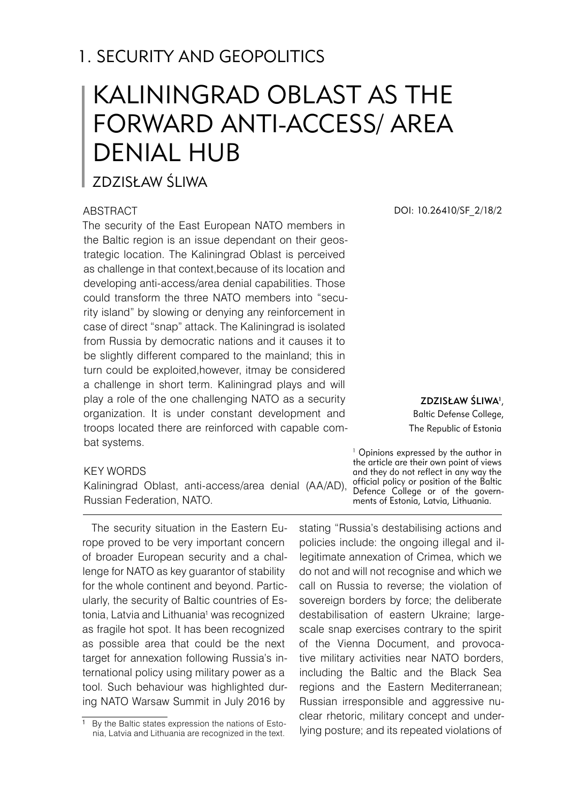# 1. SECURITY AND GEOPOLITICS

# KALININGRAD OBLAST AS THE FORWARD ANTI-ACCESS/ AREA DENIAL HUB

Zdzisław Śliwa

#### **ABSTRACT**

The security of the East European NATO members in the Baltic region is an issue dependant on their geostrategic location. The Kaliningrad Oblast is perceived as challenge in that context,because of its location and developing anti-access/area denial capabilities. Those could transform the three NATO members into "security island" by slowing or denying any reinforcement in case of direct "snap" attack. The Kaliningrad is isolated from Russia by democratic nations and it causes it to be slightly different compared to the mainland; this in turn could be exploited,however, itmay be considered a challenge in short term. Kaliningrad plays and will play a role of the one challenging NATO as a security organization. It is under constant development and troops located there are reinforced with capable combat systems.

#### KEY WORDS

Kaliningrad Oblast, anti-access/area denial (AA/AD), Russian Federation, NATO.

The security situation in the Eastern Europe proved to be very important concern of broader European security and a challenge for NATO as key guarantor of stability for the whole continent and beyond. Particularly, the security of Baltic countries of Estonia, Latvia and Lithuania<sup>1</sup> was recognized as fragile hot spot. It has been recognized as possible area that could be the next target for annexation following Russia's international policy using military power as a tool. Such behaviour was highlighted during NATO Warsaw Summit in July 2016 by

DOI: 10.26410/SF\_2/18/2

ZDZISŁAW SLIWA<sup>1</sup>, Baltic Defense College, The Republic of Estonia

<sup>1</sup> Opinions expressed by the author in the article are their own point of views and they do not reflect in any way the official policy or position of the Baltic Defence College or of the governments of Estonia, Latvia, Lithuania.

stating "Russia's destabilising actions and policies include: the ongoing illegal and illegitimate annexation of Crimea, which we do not and will not recognise and which we call on Russia to reverse; the violation of sovereign borders by force; the deliberate destabilisation of eastern Ukraine; largescale snap exercises contrary to the spirit of the Vienna Document, and provocative military activities near NATO borders, including the Baltic and the Black Sea regions and the Eastern Mediterranean; Russian irresponsible and aggressive nuclear rhetoric, military concept and underlying posture; and its repeated violations of

<sup>&</sup>lt;sup>1</sup> By the Baltic states expression the nations of Estonia, Latvia and Lithuania are recognized in the text.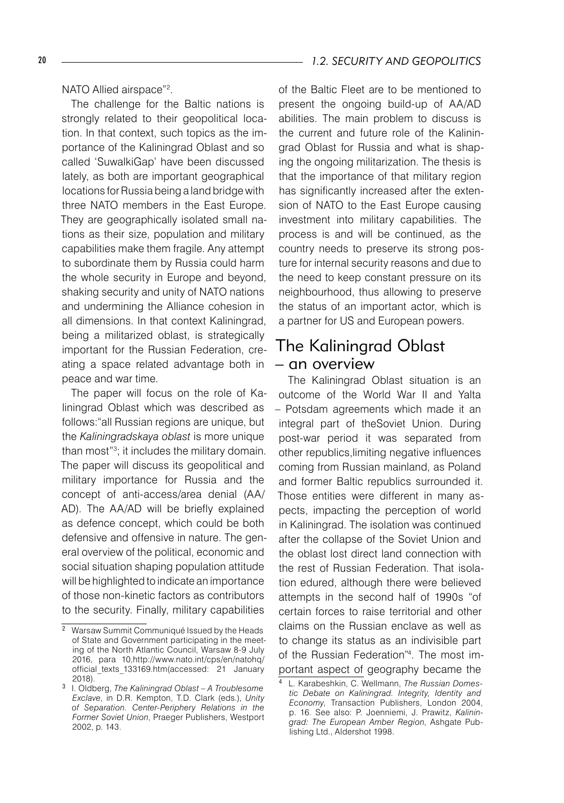NATO Allied airspace"<sup>2</sup> .

The challenge for the Baltic nations is strongly related to their geopolitical location. In that context, such topics as the importance of the Kaliningrad Oblast and so called 'SuwalkiGap' have been discussed lately, as both are important geographical locations for Russia being a land bridge with three NATO members in the East Europe. They are geographically isolated small nations as their size, population and military capabilities make them fragile. Any attempt to subordinate them by Russia could harm the whole security in Europe and beyond, shaking security and unity of NATO nations and undermining the Alliance cohesion in all dimensions. In that context Kaliningrad, being a militarized oblast, is strategically important for the Russian Federation, creating a space related advantage both in peace and war time.

The paper will focus on the role of Kaliningrad Oblast which was described as follows:"all Russian regions are unique, but the *Kaliningradskaya oblast* is more unique than most"<sup>3</sup> ; it includes the military domain. The paper will discuss its geopolitical and military importance for Russia and the concept of anti-access/area denial (AA/ AD). The AA/AD will be briefly explained as defence concept, which could be both defensive and offensive in nature. The general overview of the political, economic and social situation shaping population attitude will be highlighted to indicate an importance of those non-kinetic factors as contributors to the security. Finally, military capabilities

of the Baltic Fleet are to be mentioned to present the ongoing build-up of AA/AD abilities. The main problem to discuss is the current and future role of the Kaliningrad Oblast for Russia and what is shaping the ongoing militarization. The thesis is that the importance of that military region has significantly increased after the extension of NATO to the East Europe causing investment into military capabilities. The process is and will be continued, as the country needs to preserve its strong posture for internal security reasons and due to the need to keep constant pressure on its neighbourhood, thus allowing to preserve the status of an important actor, which is a partner for US and European powers.

## The Kaliningrad Oblast – an overview

The Kaliningrad Oblast situation is an outcome of the World War II and Yalta – Potsdam agreements which made it an integral part of theSoviet Union. During post-war period it was separated from other republics,limiting negative influences coming from Russian mainland, as Poland and former Baltic republics surrounded it. Those entities were different in many aspects, impacting the perception of world in Kaliningrad. The isolation was continued after the collapse of the Soviet Union and the oblast lost direct land connection with the rest of Russian Federation. That isolation edured, although there were believed attempts in the second half of 1990s "of certain forces to raise territorial and other claims on the Russian enclave as well as to change its status as an indivisible part of the Russian Federation"<sup>4</sup> . The most important aspect of geography became the

<sup>&</sup>lt;sup>2</sup> Warsaw Summit Communiqué Issued by the Heads of State and Government participating in the meeting of the North Atlantic Council, Warsaw 8-9 July 2016, para 10,http://www.nato.int/cps/en/natohq/ official\_texts\_133169.htm(accessed: 21 January 2018).

I. Oldberg, *The Kaliningrad Oblast – A Troublesome Exclave*, in D.R. Kempton, T.D. Clark (eds.), *Unity of Separation. Center-Periphery Relations in the Former Soviet Union*, Praeger Publishers, Westport 2002, p. 143.

L. Karabeshkin, C. Wellmann, *The Russian Domestic Debate on Kaliningrad. Integrity, Identity and Economy*, Transaction Publishers, London 2004, p. 16. See also: P. Joenniemi, J. Prawitz, *Kaliningrad: The European Amber Region*, Ashgate Publishing Ltd., Aldershot 1998.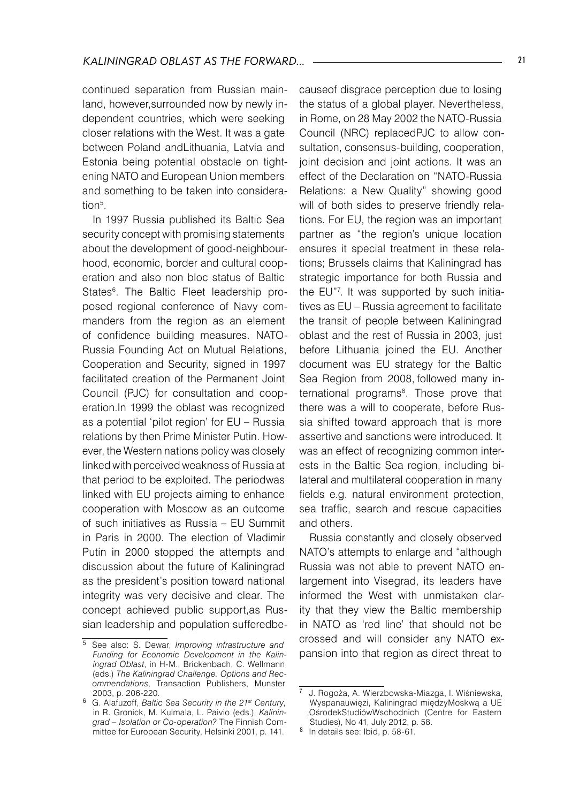continued separation from Russian mainland, however,surrounded now by newly independent countries, which were seeking closer relations with the West. It was a gate between Poland andLithuania, Latvia and Estonia being potential obstacle on tightening NATO and European Union members and something to be taken into consideration<sup>5</sup>.

In 1997 Russia published its Baltic Sea security concept with promising statements about the development of good-neighbourhood, economic, border and cultural cooperation and also non bloc status of Baltic States6 . The Baltic Fleet leadership proposed regional conference of Navy commanders from the region as an element of confidence building measures. NATO-Russia Founding Act on Mutual Relations, Cooperation and Security, signed in 1997 facilitated creation of the Permanent Joint Council (PJC) for consultation and cooperation.In 1999 the oblast was recognized as a potential 'pilot region' for EU – Russia relations by then Prime Minister Putin. However, the Western nations policy was closely linked with perceived weakness of Russia at that period to be exploited. The periodwas linked with EU projects aiming to enhance cooperation with Moscow as an outcome of such initiatives as Russia – EU Summit in Paris in 2000. The election of Vladimir Putin in 2000 stopped the attempts and discussion about the future of Kaliningrad as the president's position toward national integrity was very decisive and clear. The concept achieved public support,as Russian leadership and population sufferedbecauseof disgrace perception due to losing the status of a global player. Nevertheless, in Rome, on 28 May 2002 the NATO-Russia Council (NRC) replacedPJC to allow consultation, consensus-building, cooperation, joint decision and joint actions. It was an effect of the Declaration on "NATO-Russia Relations: a New Quality" showing good will of both sides to preserve friendly relations. For EU, the region was an important partner as "the region's unique location ensures it special treatment in these relations; Brussels claims that Kaliningrad has strategic importance for both Russia and the EU"7 . It was supported by such initiatives as EU – Russia agreement to facilitate the transit of people between Kaliningrad oblast and the rest of Russia in 2003, just before Lithuania joined the EU. Another document was EU strategy for the Baltic Sea Region from 2008, followed many international programs<sup>8</sup>. Those prove that there was a will to cooperate, before Russia shifted toward approach that is more assertive and sanctions were introduced. It was an effect of recognizing common interests in the Baltic Sea region, including bilateral and multilateral cooperation in many fields e.g. natural environment protection, sea traffic, search and rescue capacities and others.

Russia constantly and closely observed NATO's attempts to enlarge and "although Russia was not able to prevent NATO enlargement into Visegrad, its leaders have informed the West with unmistaken clarity that they view the Baltic membership in NATO as 'red line' that should not be crossed and will consider any NATO expansion into that region as direct threat to

<sup>&</sup>lt;sup>5</sup> See also: S. Dewar, *Improving infrastructure and Funding for Economic Development in the Kaliningrad Oblast*, in H-M., Brickenbach, C. Wellmann (eds.) *The Kaliningrad Challenge. Options and Recommendations*, Transaction Publishers, Munster 2003, p. 206-220.

G. Alafuzoff, *Baltic Sea Security in the 21st Century*, in R. Gronick, M. Kulmala, L. Paivio (eds.), *Kaliningrad – Isolation or Co-operation?* The Finnish Committee for European Security, Helsinki 2001, p. 141.

<sup>7</sup> J. Rogoża, A. Wierzbowska-Miazga, I. Wiśniewska, Wyspanauwięzi, Kaliningrad międzyMoskwą a UE ,OśrodekStudiówWschodnich (Centre for Eastern Studies), No 41, July 2012, p. 58.

 $8$  In details see: Ibid, p. 58-61.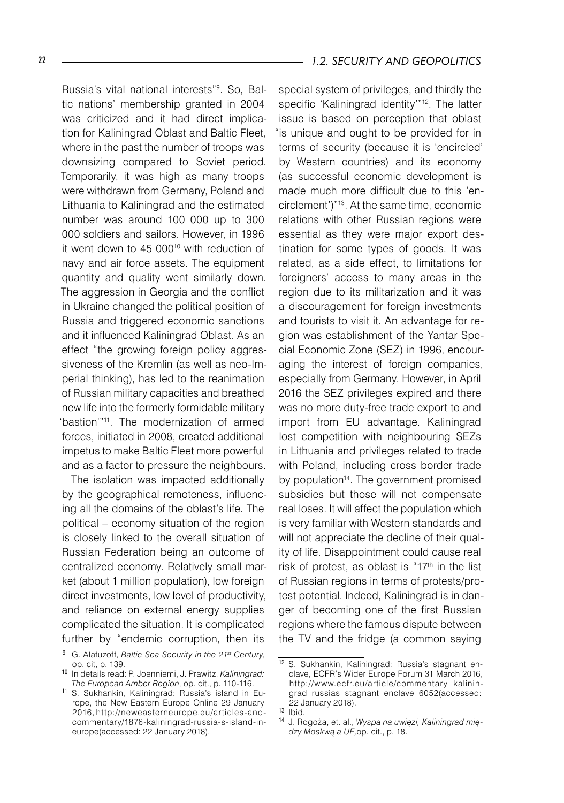Russia's vital national interests"<sup>9</sup> . So, Baltic nations' membership granted in 2004 was criticized and it had direct implication for Kaliningrad Oblast and Baltic Fleet, where in the past the number of troops was downsizing compared to Soviet period. Temporarily, it was high as many troops were withdrawn from Germany, Poland and Lithuania to Kaliningrad and the estimated number was around 100 000 up to 300 000 soldiers and sailors. However, in 1996 it went down to 45 000<sup>10</sup> with reduction of navy and air force assets. The equipment quantity and quality went similarly down. The aggression in Georgia and the conflict in Ukraine changed the political position of Russia and triggered economic sanctions and it influenced Kaliningrad Oblast. As an effect "the growing foreign policy aggressiveness of the Kremlin (as well as neo-Imperial thinking), has led to the reanimation of Russian military capacities and breathed new life into the formerly formidable military 'bastion'"<sup>11</sup>. The modernization of armed forces, initiated in 2008, created additional impetus to make Baltic Fleet more powerful and as a factor to pressure the neighbours.

The isolation was impacted additionally by the geographical remoteness, influencing all the domains of the oblast's life. The political – economy situation of the region is closely linked to the overall situation of Russian Federation being an outcome of centralized economy. Relatively small market (about 1 million population), low foreign direct investments, low level of productivity, and reliance on external energy supplies complicated the situation. It is complicated further by "endemic corruption, then its

special system of privileges, and thirdly the specific 'Kaliningrad identity'"<sup>12</sup>. The latter issue is based on perception that oblast "is unique and ought to be provided for in terms of security (because it is 'encircled' by Western countries) and its economy (as successful economic development is made much more difficult due to this 'encirclement')"<sup>13</sup>. At the same time, economic relations with other Russian regions were essential as they were major export destination for some types of goods. It was related, as a side effect, to limitations for foreigners' access to many areas in the region due to its militarization and it was a discouragement for foreign investments and tourists to visit it. An advantage for region was establishment of the Yantar Special Economic Zone (SEZ) in 1996, encouraging the interest of foreign companies. especially from Germany. However, in April 2016 the SEZ privileges expired and there was no more duty-free trade export to and import from EU advantage. Kaliningrad lost competition with neighbouring SEZs in Lithuania and privileges related to trade with Poland, including cross border trade by population<sup>14</sup>. The government promised subsidies but those will not compensate real loses. It will affect the population which is very familiar with Western standards and will not appreciate the decline of their quality of life. Disappointment could cause real risk of protest, as oblast is " $17<sup>th</sup>$  in the list of Russian regions in terms of protests/protest potential. Indeed, Kaliningrad is in danger of becoming one of the first Russian regions where the famous dispute between the TV and the fridge (a common saying

G. Alafuzoff, *Baltic Sea Security in the 21st Century*, op. cit, p. 139.

<sup>10</sup> In details read: P. Joenniemi, J. Prawitz, *Kaliningrad: The European Amber Region*, op. cit., p. 110-116.

<sup>11</sup> S. Sukhankin, Kaliningrad: Russia's island in Europe, the New Eastern Europe Online 29 January 2016, http://neweasterneurope.eu/articles-andcommentary/1876-kaliningrad-russia-s-island-ineurope(accessed: 22 January 2018).

<sup>12</sup> S. Sukhankin, Kaliningrad: Russia's stagnant enclave, ECFR's Wider Europe Forum 31 March 2016, http://www.ecfr.eu/article/commentary \_kaliningrad\_russias\_stagnant\_enclave\_6052(accessed: 22 January 2018).

<sup>13</sup> Ibid.

<sup>14</sup> J. Rogoża, et. al., *Wyspa na uwięzi, Kaliningrad między Moskwą a UE,*op. cit., p. 18.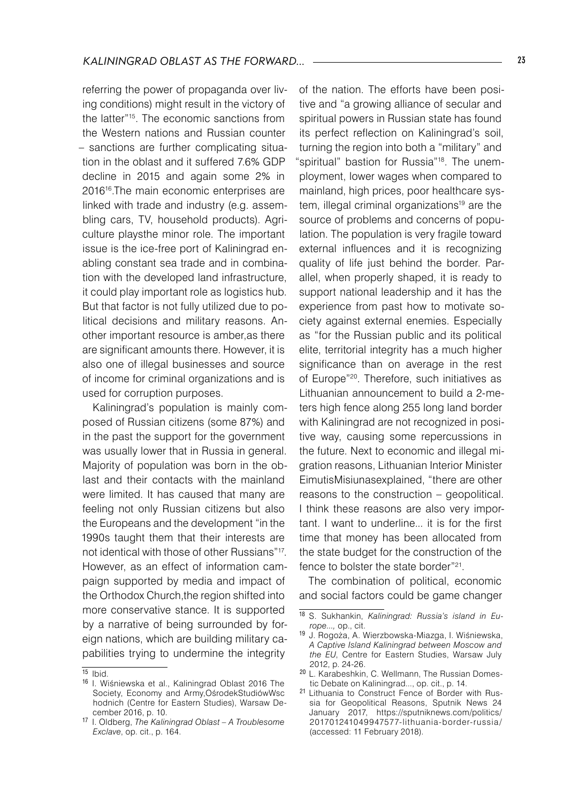referring the power of propaganda over living conditions) might result in the victory of the latter"15. The economic sanctions from the Western nations and Russian counter – sanctions are further complicating situation in the oblast and it suffered 7.6% GDP decline in 2015 and again some 2% in 2016<sup>16</sup>.The main economic enterprises are linked with trade and industry (e.g. assembling cars, TV, household products). Agriculture playsthe minor role. The important issue is the ice-free port of Kaliningrad enabling constant sea trade and in combination with the developed land infrastructure, it could play important role as logistics hub. But that factor is not fully utilized due to political decisions and military reasons. Another important resource is amber,as there are significant amounts there. However, it is also one of illegal businesses and source of income for criminal organizations and is used for corruption purposes.

Kaliningrad's population is mainly composed of Russian citizens (some 87%) and in the past the support for the government was usually lower that in Russia in general. Majority of population was born in the oblast and their contacts with the mainland were limited. It has caused that many are feeling not only Russian citizens but also the Europeans and the development "in the 1990s taught them that their interests are not identical with those of other Russians"17. However, as an effect of information campaign supported by media and impact of the Orthodox Church,the region shifted into more conservative stance. It is supported by a narrative of being surrounded by foreign nations, which are building military capabilities trying to undermine the integrity

of the nation. The efforts have been positive and "a growing alliance of secular and spiritual powers in Russian state has found its perfect reflection on Kaliningrad's soil, turning the region into both a "military" and spiritual" bastion for Russia"<sup>18</sup>. The unemployment, lower wages when compared to mainland, high prices, poor healthcare system, illegal criminal organizations<sup>19</sup> are the source of problems and concerns of population. The population is very fragile toward external influences and it is recognizing quality of life just behind the border. Parallel, when properly shaped, it is ready to support national leadership and it has the experience from past how to motivate society against external enemies. Especially as "for the Russian public and its political elite, territorial integrity has a much higher significance than on average in the rest of Europe"20. Therefore, such initiatives as Lithuanian announcement to build a 2-meters high fence along 255 long land border with Kaliningrad are not recognized in positive way, causing some repercussions in the future. Next to economic and illegal migration reasons, Lithuanian Interior Minister EimutisMisiunasexplained, "there are other reasons to the construction – geopolitical. I think these reasons are also very important. I want to underline... it is for the first time that money has been allocated from the state budget for the construction of the fence to bolster the state border"21.

The combination of political, economic and social factors could be game changer

 $\overline{15}$  Ibid.

<sup>16</sup> I. Wiśniewska et al., Kaliningrad Oblast 2016 The Society, Economy and Army,OśrodekStudiówWsc hodnich (Centre for Eastern Studies), Warsaw December 2016, p. 10.

<sup>17</sup> I. Oldberg, *The Kaliningrad Oblast – A Troublesome Exclave*, op. cit., p. 164.

<sup>18</sup> S. Sukhankin, *Kaliningrad: Russia's island in Europe...,* op., cit.

<sup>19</sup> J. Rogoża, A. Wierzbowska-Miazga, I. Wiśniewska, *A Captive Island Kaliningrad between Moscow and the EU*, Centre for Eastern Studies, Warsaw July 2012, p. 24-26.

<sup>20</sup> L. Karabeshkin, C. Wellmann, The Russian Domestic Debate on Kaliningrad..., op. cit., p. 14.

<sup>21</sup> Lithuania to Construct Fence of Border with Russia for Geopolitical Reasons, Sputnik News 24 January 2017, https://sputniknews.com/politics/ 201701241049947577-lithuania-border-russia/ (accessed: 11 February 2018).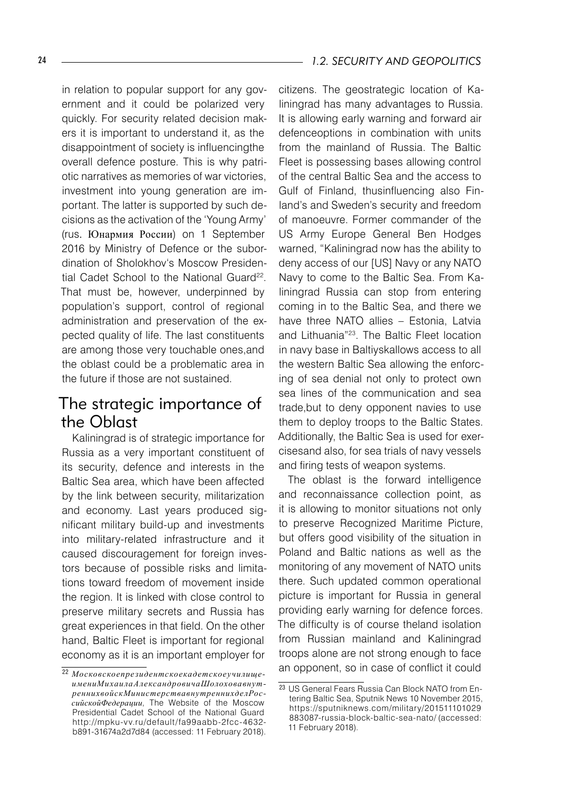in relation to popular support for any government and it could be polarized very quickly. For security related decision makers it is important to understand it, as the disappointment of society is influencingthe overall defence posture. This is why patriotic narratives as memories of war victories, investment into young generation are important. The latter is supported by such decisions as the activation of the 'Young Army' (rus. Юнармия России) on 1 September 2016 by Ministry of Defence or the subordination of Sholokhov's Moscow Presidential Cadet School to the National Guard<sup>22</sup>. That must be, however, underpinned by population's support, control of regional administration and preservation of the expected quality of life. The last constituents are among those very touchable ones,and the oblast could be a problematic area in the future if those are not sustained.

## The strategic importance of the Oblast

Kaliningrad is of strategic importance for Russia as a very important constituent of its security, defence and interests in the Baltic Sea area, which have been affected by the link between security, militarization and economy. Last years produced significant military build-up and investments into military-related infrastructure and it caused discouragement for foreign investors because of possible risks and limitations toward freedom of movement inside the region. It is linked with close control to preserve military secrets and Russia has great experiences in that field. On the other hand, Baltic Fleet is important for regional economy as it is an important employer for

citizens. The geostrategic location of Kaliningrad has many advantages to Russia. It is allowing early warning and forward air defenceoptions in combination with units from the mainland of Russia. The Baltic Fleet is possessing bases allowing control of the central Baltic Sea and the access to Gulf of Finland, thusinfluencing also Finland's and Sweden's security and freedom of manoeuvre. Former commander of the US Army Europe General Ben Hodges warned, "Kaliningrad now has the ability to deny access of our [US] Navy or any NATO Navy to come to the Baltic Sea. From Kaliningrad Russia can stop from entering coming in to the Baltic Sea, and there we have three NATO allies – Estonia, Latvia and Lithuania"<sup>23</sup>. The Baltic Fleet location in navy base in Baltiyskallows access to all the western Baltic Sea allowing the enforcing of sea denial not only to protect own sea lines of the communication and sea trade,but to deny opponent navies to use them to deploy troops to the Baltic States. Additionally, the Baltic Sea is used for exercisesand also, for sea trials of navy vessels and firing tests of weapon systems.

The oblast is the forward intelligence and reconnaissance collection point, as it is allowing to monitor situations not only to preserve Recognized Maritime Picture, but offers good visibility of the situation in Poland and Baltic nations as well as the monitoring of any movement of NATO units there. Such updated common operational picture is important for Russia in general providing early warning for defence forces. The difficulty is of course theland isolation from Russian mainland and Kaliningrad troops alone are not strong enough to face an opponent, so in case of conflict it could

<sup>22</sup> *МосковскоепрезидентскоекадетскоеучилищеимениМихаилаАлександровичаШолоховавнутреннихвойскМинистерствавнутреннихделРоссийскойФедерации*, The Website of the Moscow Presidential Cadet School of the National Guard http://mpku-vv.ru/default/fa99aabb-2fcc-4632 b891-31674a2d7d84 (accessed: 11 February 2018).

<sup>23</sup> US General Fears Russia Can Block NATO from Entering Baltic Sea, Sputnik News 10 November 2015, https://sputniknews.com/military/201511101029 883087-russia-block-baltic-sea-nato/ (accessed: 11 February 2018).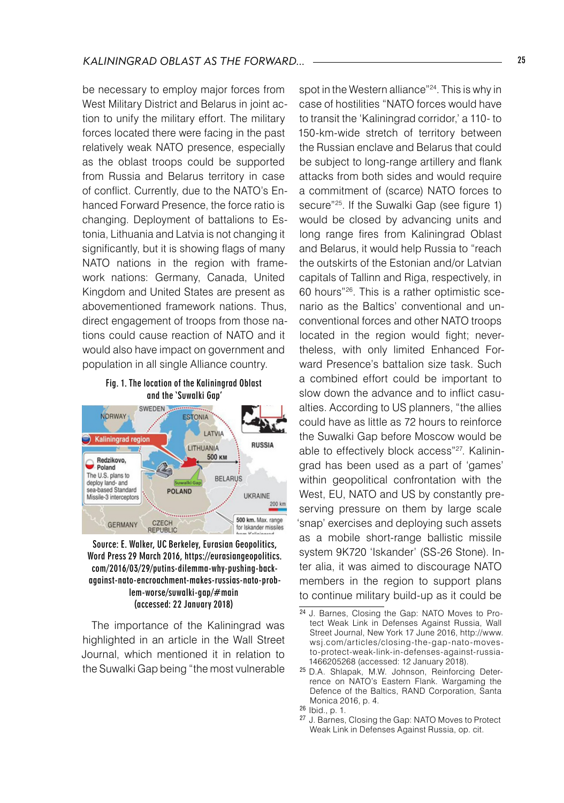be necessary to employ major forces from West Military District and Belarus in joint action to unify the military effort. The military forces located there were facing in the past relatively weak NATO presence, especially as the oblast troops could be supported from Russia and Belarus territory in case of conflict. Currently, due to the NATO's Enhanced Forward Presence, the force ratio is changing. Deployment of battalions to Estonia, Lithuania and Latvia is not changing it significantly, but it is showing flags of many NATO nations in the region with framework nations: Germany, Canada, United Kingdom and United States are present as abovementioned framework nations. Thus, direct engagement of troops from those nations could cause reaction of NATO and it would also have impact on government and population in all single Alliance country.





Source: E. Walker, UC Berkeley, Eurasian Geopolitics, Word Press 29 March 2016, https://eurasiangeopolitics. com/2016/03/29/putins-dilemma-why-pushing-backagainst-nato-encroachment-makes-russias-nato-problem-worse/suwalki-gap/#main (accessed: 22 January 2018)

The importance of the Kaliningrad was highlighted in an article in the Wall Street Journal, which mentioned it in relation to the Suwalki Gap being "the most vulnerable

spot in the Western alliance"<sup>24</sup>. This is why in case of hostilities "NATO forces would have to transit the 'Kaliningrad corridor,' a 110- to 150-km-wide stretch of territory between the Russian enclave and Belarus that could be subject to long-range artillery and flank attacks from both sides and would require a commitment of (scarce) NATO forces to secure<sup>"25</sup>. If the Suwalki Gap (see figure 1) would be closed by advancing units and long range fires from Kaliningrad Oblast and Belarus, it would help Russia to "reach the outskirts of the Estonian and/or Latvian capitals of Tallinn and Riga, respectively, in 60 hours"26. This is a rather optimistic scenario as the Baltics' conventional and unconventional forces and other NATO troops located in the region would fight; nevertheless, with only limited Enhanced Forward Presence's battalion size task. Such a combined effort could be important to slow down the advance and to inflict casualties. According to US planners, "the allies could have as little as 72 hours to reinforce the Suwalki Gap before Moscow would be able to effectively block access"27. Kaliningrad has been used as a part of 'games' within geopolitical confrontation with the West, EU, NATO and US by constantly preserving pressure on them by large scale 'snap' exercises and deploying such assets as a mobile short-range ballistic missile system 9K720 'Iskander' (SS-26 Stone). Inter alia, it was aimed to discourage NATO members in the region to support plans to continue military build-up as it could be

<sup>24</sup> J. Barnes, Closing the Gap: NATO Moves to Protect Weak Link in Defenses Against Russia, Wall Street Journal, New York 17 June 2016, http://www. wsj.com/articles/closing-the-gap-nato-movesto-protect-weak-link-in-defenses-against-russia-1466205268 (accessed: 12 January 2018).

<sup>25</sup> D.A. Shlapak, M.W. Johnson, Reinforcing Deterrence on NATO's Eastern Flank. Wargaming the Defence of the Baltics, RAND Corporation, Santa Monica 2016, p. 4.

<sup>26</sup> Ibid., p. 1.

<sup>27</sup> J. Barnes, Closing the Gap: NATO Moves to Protect Weak Link in Defenses Against Russia, op. cit.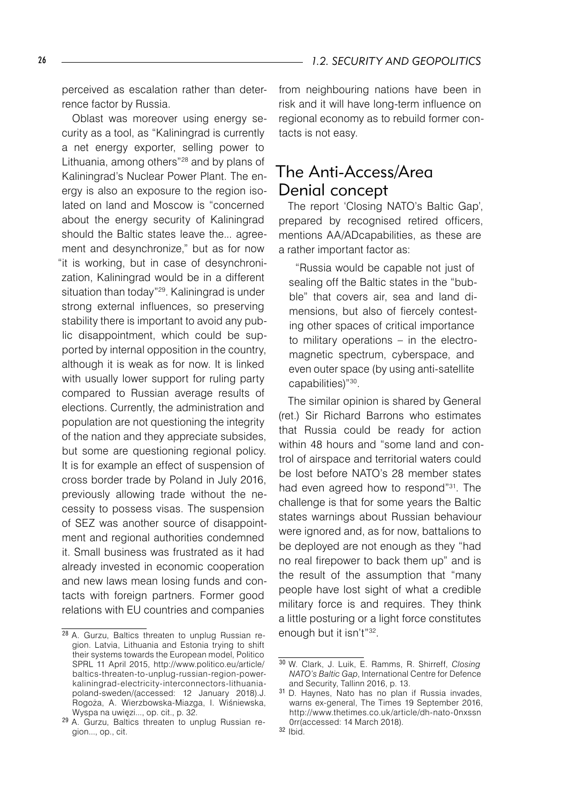perceived as escalation rather than deterrence factor by Russia.

Oblast was moreover using energy security as a tool, as "Kaliningrad is currently a net energy exporter, selling power to Lithuania, among others"<sup>28</sup> and by plans of Kaliningrad's Nuclear Power Plant. The energy is also an exposure to the region isolated on land and Moscow is "concerned about the energy security of Kaliningrad should the Baltic states leave the... agreement and desynchronize," but as for now "it is working, but in case of desynchronization, Kaliningrad would be in a different situation than today"<sup>29</sup>. Kaliningrad is under strong external influences, so preserving stability there is important to avoid any public disappointment, which could be supported by internal opposition in the country, although it is weak as for now. It is linked with usually lower support for ruling party compared to Russian average results of elections. Currently, the administration and population are not questioning the integrity of the nation and they appreciate subsides, but some are questioning regional policy. It is for example an effect of suspension of cross border trade by Poland in July 2016, previously allowing trade without the necessity to possess visas. The suspension of SEZ was another source of disappointment and regional authorities condemned it. Small business was frustrated as it had already invested in economic cooperation and new laws mean losing funds and contacts with foreign partners. Former good relations with EU countries and companies

from neighbouring nations have been in risk and it will have long-term influence on regional economy as to rebuild former contacts is not easy.

## The Anti-Access/Area Denial concept

The report 'Closing NATO's Baltic Gap', prepared by recognised retired officers, mentions AA/ADcapabilities, as these are a rather important factor as:

"Russia would be capable not just of sealing off the Baltic states in the "bubble" that covers air, sea and land dimensions, but also of fiercely contesting other spaces of critical importance to military operations – in the electromagnetic spectrum, cyberspace, and even outer space (by using anti-satellite capabilities)"30.

The similar opinion is shared by General (ret.) Sir Richard Barrons who estimates that Russia could be ready for action within 48 hours and "some land and control of airspace and territorial waters could be lost before NATO's 28 member states had even agreed how to respond"31. The challenge is that for some years the Baltic states warnings about Russian behaviour were ignored and, as for now, battalions to be deployed are not enough as they "had no real firepower to back them up" and is the result of the assumption that "many people have lost sight of what a credible military force is and requires. They think a little posturing or a light force constitutes enough but it isn't"32.

<sup>28</sup> A. Gurzu, Baltics threaten to unplug Russian region. Latvia, Lithuania and Estonia trying to shift their systems towards the European model, Politico SPRL 11 April 2015, http://www.politico.eu/article/ baltics-threaten-to-unplug-russian-region-powerkaliningrad-electricity-interconnectors-lithuaniapoland-sweden/(accessed: 12 January 2018).J. Rogoża, A. Wierzbowska-Miazga, I. Wiśniewska, Wyspa na uwięzi..., op. cit., p. 32.

<sup>29</sup> A. Gurzu, Baltics threaten to unplug Russian region..., op., cit.

<sup>30</sup> W. Clark, J. Luik, E. Ramms, R. Shirreff, *Closing NATO's Baltic Gap*, International Centre for Defence and Security, Tallinn 2016, p. 13.

<sup>31</sup> D. Haynes, Nato has no plan if Russia invades, warns ex-general, The Times 19 September 2016, http://www.thetimes.co.uk/article/dh-nato-0nxssn 0rr(accessed: 14 March 2018).

<sup>32</sup> Ibid.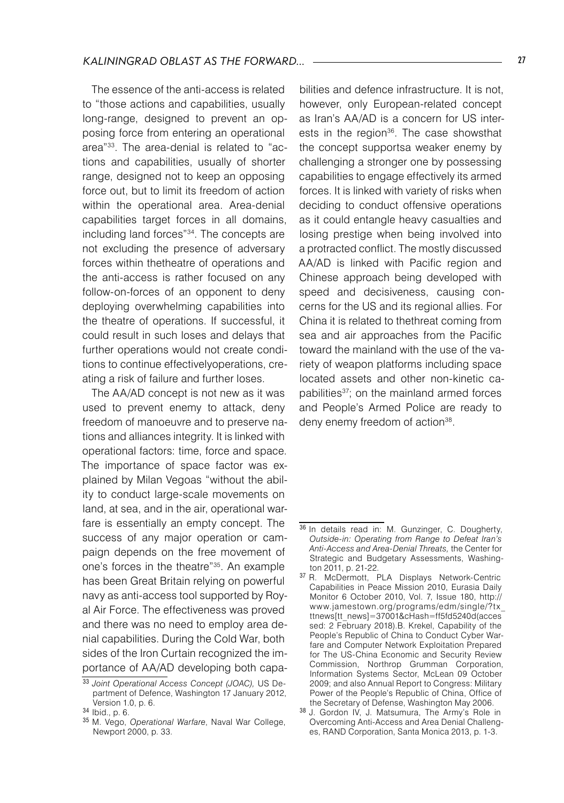The essence of the anti-access is related to "those actions and capabilities, usually long-range, designed to prevent an opposing force from entering an operational area"33. The area-denial is related to "actions and capabilities, usually of shorter range, designed not to keep an opposing force out, but to limit its freedom of action within the operational area. Area-denial capabilities target forces in all domains, including land forces"34. The concepts are not excluding the presence of adversary forces within thetheatre of operations and the anti-access is rather focused on any follow-on-forces of an opponent to deny deploying overwhelming capabilities into the theatre of operations. If successful, it could result in such loses and delays that further operations would not create conditions to continue effectivelyoperations, creating a risk of failure and further loses.

The AA/AD concept is not new as it was used to prevent enemy to attack, deny freedom of manoeuvre and to preserve nations and alliances integrity. It is linked with operational factors: time, force and space. The importance of space factor was explained by Milan Vegoas "without the ability to conduct large-scale movements on land, at sea, and in the air, operational warfare is essentially an empty concept. The success of any major operation or campaign depends on the free movement of one's forces in the theatre"<sup>35</sup>. An example has been Great Britain relying on powerful navy as anti-access tool supported by Royal Air Force. The effectiveness was proved and there was no need to employ area denial capabilities. During the Cold War, both sides of the Iron Curtain recognized the importance of AA/AD developing both capabilities and defence infrastructure. It is not, however, only European-related concept as Iran's AA/AD is a concern for US interests in the region<sup>36</sup>. The case showsthat the concept supportsa weaker enemy by challenging a stronger one by possessing capabilities to engage effectively its armed forces. It is linked with variety of risks when deciding to conduct offensive operations as it could entangle heavy casualties and losing prestige when being involved into a protracted conflict. The mostly discussed AA/AD is linked with Pacific region and Chinese approach being developed with speed and decisiveness, causing concerns for the US and its regional allies. For China it is related to thethreat coming from sea and air approaches from the Pacific toward the mainland with the use of the variety of weapon platforms including space located assets and other non-kinetic capabilities<sup>37</sup>; on the mainland armed forces and People's Armed Police are ready to deny enemy freedom of action<sup>38</sup>.

<sup>33</sup> *Joint Operational Access Concept (JOAC),* US Department of Defence, Washington 17 January 2012, Version 1.0, p. 6.

<sup>34</sup> Ibid., p. 6.

<sup>35</sup> M. Vego, *Operational Warfare*, Naval War College, Newport 2000, p. 33.

 $36$  In details read in: M. Gunzinger, C. Dougherty, *Outside-in: Operating from Range to Defeat Iran's Anti-Access and Area-Denial Threats,* the Center for Strategic and Budgetary Assessments, Washington 2011, p. 21-22.

<sup>37</sup> R. McDermott, PLA Displays Network-Centric Capabilities in Peace Mission 2010, Eurasia Daily Monitor 6 October 2010, Vol. 7, Issue 180, http:// www.jamestown.org/programs/edm/single/?tx\_ ttnews[tt\_news]=37001&cHash=ff5fd5240d(acces sed: 2 February 2018).B. Krekel, Capability of the People's Republic of China to Conduct Cyber Warfare and Computer Network Exploitation Prepared for The US-China Economic and Security Review Commission, Northrop Grumman Corporation, Information Systems Sector, McLean 09 October 2009; and also Annual Report to Congress: Military Power of the People's Republic of China, Office of the Secretary of Defense, Washington May 2006.

<sup>38</sup> J. Gordon IV, J. Matsumura, The Army's Role in Overcoming Anti-Access and Area Denial Challenges, RAND Corporation, Santa Monica 2013, p. 1-3.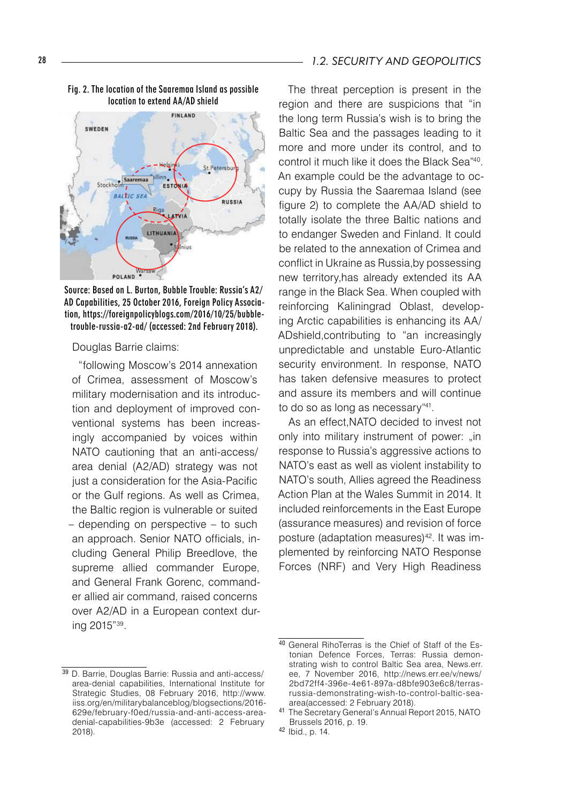

#### Fig. 2. The location of the Saaremaa Island as possible location to extend AA/AD shield

Source: Based on L. Burton, Bubble Trouble: Russia's A2/ AD Capabilities, 25 October 2016, Foreign Policy Association, https://foreignpolicyblogs.com/2016/10/25/bubbletrouble-russia-a2-ad/ (accessed: 2nd February 2018).

#### Douglas Barrie claims:

"following Moscow's 2014 annexation of Crimea, assessment of Moscow's military modernisation and its introduction and deployment of improved conventional systems has been increasingly accompanied by voices within NATO cautioning that an anti-access/ area denial (A2/AD) strategy was not just a consideration for the Asia-Pacific or the Gulf regions. As well as Crimea, the Baltic region is vulnerable or suited – depending on perspective – to such an approach. Senior NATO officials, including General Philip Breedlove, the supreme allied commander Europe, and General Frank Gorenc, commander allied air command, raised concerns over A2/AD in a European context during 2015"39.

#### 28 *1.2. SECURITY AND GEOPOLITICS*

The threat perception is present in the region and there are suspicions that "in the long term Russia's wish is to bring the Baltic Sea and the passages leading to it more and more under its control, and to control it much like it does the Black Sea"40. An example could be the advantage to occupy by Russia the Saaremaa Island (see figure 2) to complete the AA/AD shield to totally isolate the three Baltic nations and to endanger Sweden and Finland. It could be related to the annexation of Crimea and conflict in Ukraine as Russia,by possessing new territory,has already extended its AA range in the Black Sea. When coupled with reinforcing Kaliningrad Oblast, developing Arctic capabilities is enhancing its AA/ ADshield,contributing to "an increasingly unpredictable and unstable Euro-Atlantic security environment. In response, NATO has taken defensive measures to protect and assure its members and will continue to do so as long as necessary"41.

As an effect,NATO decided to invest not only into military instrument of power: "in response to Russia's aggressive actions to NATO's east as well as violent instability to NATO's south, Allies agreed the Readiness Action Plan at the Wales Summit in 2014. It included reinforcements in the East Europe (assurance measures) and revision of force posture (adaptation measures)<sup>42</sup>. It was implemented by reinforcing NATO Response Forces (NRF) and Very High Readiness

<sup>39</sup> D. Barrie, Douglas Barrie: Russia and anti-access/ area-denial capabilities, International Institute for Strategic Studies, 08 February 2016, http://www. iiss.org/en/militarybalanceblog/blogsections/2016- 629e/february-f0ed/russia-and-anti-access-areadenial-capabilities-9b3e (accessed: 2 February 2018).

<sup>40</sup> General RihoTerras is the Chief of Staff of the Estonian Defence Forces, Terras: Russia demonstrating wish to control Baltic Sea area, News.err. ee, 7 November 2016, http://news.err.ee/v/news/ 2bd72ff4-396e-4e61-897a-d8bfe903e6c8/terrasrussia-demonstrating-wish-to-control-baltic-seaarea(accessed: 2 February 2018).

<sup>41</sup> The Secretary General's Annual Report 2015, NATO Brussels 2016, p. 19.

<sup>42</sup> Ibid., p. 14.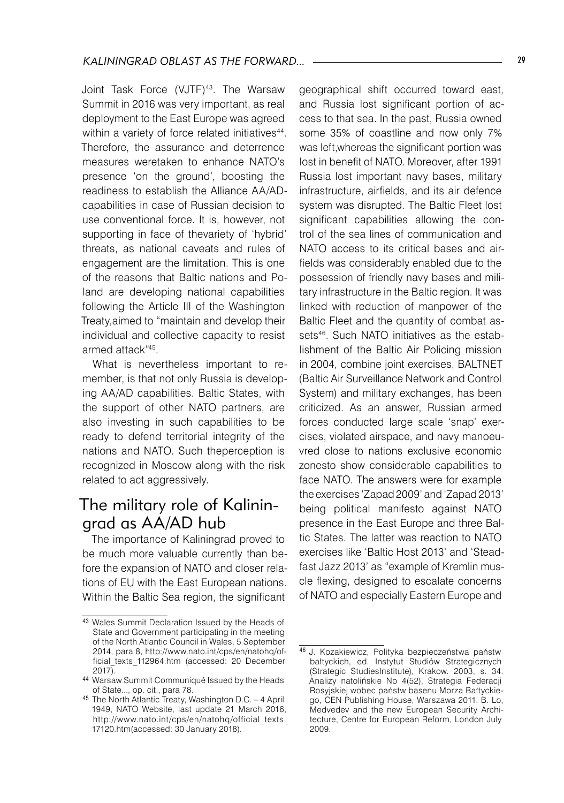Joint Task Force (VJTF)<sup>43</sup>. The Warsaw Summit in 2016 was very important, as real deployment to the East Europe was agreed within a variety of force related initiatives<sup>44</sup>. Therefore, the assurance and deterrence measures weretaken to enhance NATO's presence 'on the ground', boosting the readiness to establish the Alliance AA/ADcapabilities in case of Russian decision to use conventional force. It is, however, not supporting in face of thevariety of 'hybrid' threats, as national caveats and rules of engagement are the limitation. This is one of the reasons that Baltic nations and Poland are developing national capabilities following the Article III of the Washington Treaty,aimed to "maintain and develop their individual and collective capacity to resist armed attack"45.

What is nevertheless important to remember, is that not only Russia is developing AA/AD capabilities. Baltic States, with the support of other NATO partners, are also investing in such capabilities to be ready to defend territorial integrity of the nations and NATO. Such theperception is recognized in Moscow along with the risk related to act aggressively.

## The military role of Kaliningrad as AA/AD hub

The importance of Kaliningrad proved to be much more valuable currently than before the expansion of NATO and closer relations of EU with the East European nations. Within the Baltic Sea region, the significant

geographical shift occurred toward east, and Russia lost significant portion of access to that sea. In the past, Russia owned some 35% of coastline and now only 7% was left,whereas the significant portion was lost in benefit of NATO. Moreover, after 1991 Russia lost important navy bases, military infrastructure, airfields, and its air defence system was disrupted. The Baltic Fleet lost significant capabilities allowing the control of the sea lines of communication and NATO access to its critical bases and airfields was considerably enabled due to the possession of friendly navy bases and military infrastructure in the Baltic region. It was linked with reduction of manpower of the Baltic Fleet and the quantity of combat assets<sup>46</sup>. Such NATO initiatives as the establishment of the Baltic Air Policing mission in 2004, combine joint exercises, BALTNET (Baltic Air Surveillance Network and Control System) and military exchanges, has been criticized. As an answer, Russian armed forces conducted large scale 'snap' exercises, violated airspace, and navy manoeuvred close to nations exclusive economic zonesto show considerable capabilities to face NATO. The answers were for example the exercises 'Zapad 2009' and 'Zapad 2013' being political manifesto against NATO presence in the East Europe and three Baltic States. The latter was reaction to NATO exercises like 'Baltic Host 2013' and 'Steadfast Jazz 2013' as "example of Kremlin muscle flexing, designed to escalate concerns of NATO and especially Eastern Europe and

<sup>43</sup> Wales Summit Declaration Issued by the Heads of State and Government participating in the meeting of the North Atlantic Council in Wales, 5 September 2014, para 8, http://www.nato.int/cps/en/natohq/official texts 112964.htm (accessed: 20 December 2017).

<sup>44</sup> Warsaw Summit Communiqué Issued by the Heads of State..., op. cit., para 78.

<sup>45</sup> The North Atlantic Treaty, Washington D.C. – 4 April 1949, NATO Website, last update 21 March 2016, http://www.nato.int/cps/en/natohq/official\_texts\_ 17120.htm(accessed: 30 January 2018).

<sup>46</sup> J. Kozakiewicz, Polityka bezpieczeństwa państw bałtyckich, ed. Instytut Studiów Strategicznych (Strategic StudiesInstitute), Krakow. 2003, s. 34. Analizy natolińskie No 4(52), Strategia Federacji Rosyjskiej wobec państw basenu Morza Bałtyckiego, CEN Publishing House, Warszawa 2011. B. Lo, Medvedev and the new European Security Architecture, Centre for European Reform, London July 2009.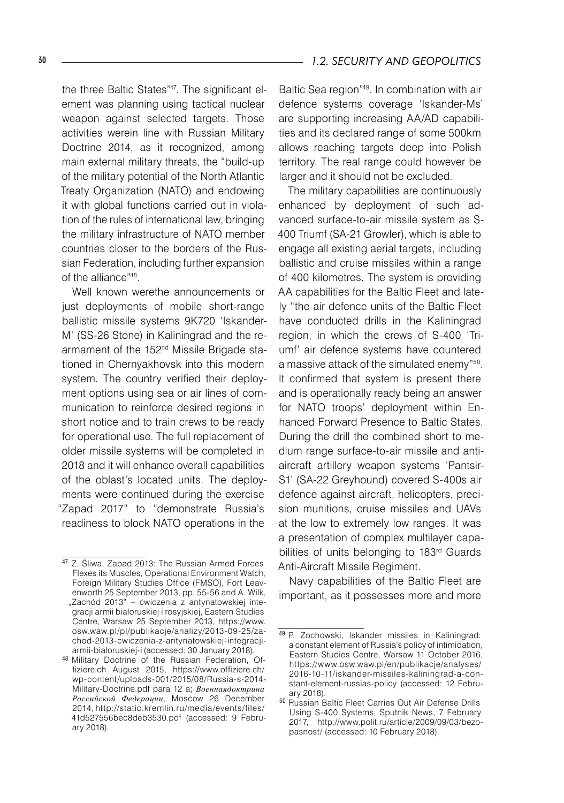the three Baltic States"47. The significant element was planning using tactical nuclear weapon against selected targets. Those activities werein line with Russian Military Doctrine 2014, as it recognized, among main external military threats, the "build-up of the military potential of the North Atlantic Treaty Organization (NATO) and endowing it with global functions carried out in violation of the rules of international law, bringing the military infrastructure of NATO member countries closer to the borders of the Russian Federation, including further expansion of the alliance"48.

Well known werethe announcements or just deployments of mobile short-range ballistic missile systems 9K720 'Iskander-M' (SS-26 Stone) in Kaliningrad and the rearmament of the 152<sup>nd</sup> Missile Brigade stationed in Chernyakhovsk into this modern system. The country verified their deployment options using sea or air lines of communication to reinforce desired regions in short notice and to train crews to be ready for operational use. The full replacement of older missile systems will be completed in 2018 and it will enhance overall capabilities of the oblast's located units. The deployments were continued during the exercise "Zapad 2017" to "demonstrate Russia's readiness to block NATO operations in the

<sup>47</sup> Z. Śliwa, Zapad 2013: The Russian Armed Forces Flexes its Muscles, Operational Environment Watch, Foreign Military Studies Office (FMSO), Fort Leavenworth 25 September 2013, pp. 55-56 and A. Wilk, "Zachód 2013" – ćwiczenia z antynatowskiej integracji armii białoruskiej i rosyjskiej, Eastern Studies Centre, Warsaw 25 September 2013, https://www. osw.waw.pl/pl/publikacje/analizy/2013-09-25/zachod-2013-cwiczenia-z-antynatowskiej-integracjiarmii-bialoruskiej-i (accessed: 30 January 2018).

<sup>48</sup> Military Doctrine of the Russian Federation, Offiziere.ch August 2015, https://www.offiziere.ch/ wp-content/uploads-001/2015/08/Russia-s-2014- Military-Doctrine.pdf para 12 a; *Военнаядоктрина Российской Федерации*, Moscow 26 December 2014, http://static.kremlin.ru/media/events/files/ 41d527556bec8deb3530.pdf (accessed: 9 February 2018).

Baltic Sea region"<sup>49</sup>. In combination with air defence systems coverage 'Iskander-Ms' are supporting increasing AA/AD capabilities and its declared range of some 500km allows reaching targets deep into Polish territory. The real range could however be larger and it should not be excluded.

The military capabilities are continuously enhanced by deployment of such advanced surface-to-air missile system as S-400 Triumf (SA-21 Growler), which is able to engage all existing aerial targets, including ballistic and cruise missiles within a range of 400 kilometres. The system is providing AA capabilities for the Baltic Fleet and lately "the air defence units of the Baltic Fleet have conducted drills in the Kaliningrad region, in which the crews of S-400 'Triumf' air defence systems have countered a massive attack of the simulated enemy"50. It confirmed that system is present there and is operationally ready being an answer for NATO troops' deployment within Enhanced Forward Presence to Baltic States. During the drill the combined short to medium range surface-to-air missile and antiaircraft artillery weapon systems 'Pantsir-S1' (SA-22 Greyhound) covered S-400s air defence against aircraft, helicopters, precision munitions, cruise missiles and UAVs at the low to extremely low ranges. It was a presentation of complex multilayer capabilities of units belonging to 183<sup>rd</sup> Guards Anti-Aircraft Missile Regiment.

Navy capabilities of the Baltic Fleet are important, as it possesses more and more

<sup>49</sup> P. Zochowski, Iskander missiles in Kaliningrad: a constant element of Russia's policy of intimidation, Eastern Studies Centre, Warsaw 11 October 2016, https://www.osw.waw.pl/en/publikacje/analyses/ 2016-10-11/iskander-missiles-kaliningrad-a-constant-element-russias-policy (accessed: 12 February 2018).

<sup>50</sup> Russian Baltic Fleet Carries Out Air Defense Drills Using S-400 Systems, Sputnik News, 7 February 2017, http://www.polit.ru/article/2009/09/03/bezopasnost/ (accessed: 10 February 2018).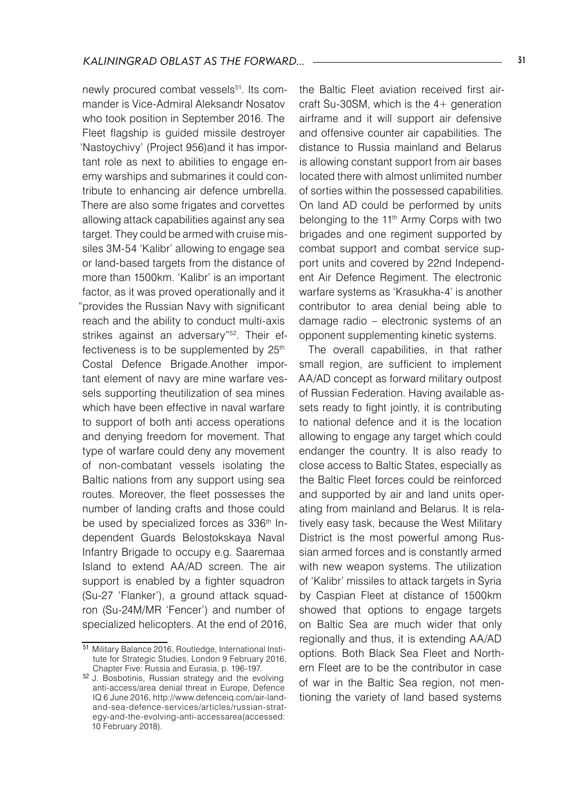newly procured combat vessels<sup>51</sup>. Its commander is Vice-Admiral Aleksandr Nosatov who took position in September 2016. The Fleet flagship is guided missile destroyer 'Nastoychivy' (Project 956)and it has important role as next to abilities to engage enemy warships and submarines it could contribute to enhancing air defence umbrella. There are also some frigates and corvettes allowing attack capabilities against any sea target. They could be armed with cruise missiles 3M-54 'Kalibr' allowing to engage sea or land-based targets from the distance of more than 1500km. 'Kalibr' is an important factor, as it was proved operationally and it "provides the Russian Navy with significant reach and the ability to conduct multi-axis strikes against an adversary"<sup>52</sup>. Their effectiveness is to be supplemented by 25<sup>th</sup> Costal Defence Brigade.Another important element of navy are mine warfare vessels supporting theutilization of sea mines which have been effective in naval warfare to support of both anti access operations and denying freedom for movement. That type of warfare could deny any movement of non-combatant vessels isolating the Baltic nations from any support using sea routes. Moreover, the fleet possesses the number of landing crafts and those could be used by specialized forces as 336<sup>th</sup> Independent Guards Belostokskaya Naval Infantry Brigade to occupy e.g. Saaremaa Island to extend AA/AD screen. The air support is enabled by a fighter squadron (Su-27 'Flanker'), a ground attack squadron (Su-24M/MR 'Fencer') and number of specialized helicopters. At the end of 2016,

the Baltic Fleet aviation received first aircraft Su-30SM, which is the 4+ generation airframe and it will support air defensive and offensive counter air capabilities. The distance to Russia mainland and Belarus is allowing constant support from air bases located there with almost unlimited number of sorties within the possessed capabilities. On land AD could be performed by units belonging to the 11<sup>th</sup> Army Corps with two brigades and one regiment supported by combat support and combat service support units and covered by 22nd Independent Air Defence Regiment. The electronic warfare systems as 'Krasukha-4' is another contributor to area denial being able to damage radio – electronic systems of an opponent supplementing kinetic systems.

The overall capabilities, in that rather small region, are sufficient to implement AA/AD concept as forward military outpost of Russian Federation. Having available assets ready to fight jointly, it is contributing to national defence and it is the location allowing to engage any target which could endanger the country. It is also ready to close access to Baltic States, especially as the Baltic Fleet forces could be reinforced and supported by air and land units operating from mainland and Belarus. It is relatively easy task, because the West Military District is the most powerful among Russian armed forces and is constantly armed with new weapon systems. The utilization of 'Kalibr' missiles to attack targets in Syria by Caspian Fleet at distance of 1500km showed that options to engage targets on Baltic Sea are much wider that only regionally and thus, it is extending AA/AD options. Both Black Sea Fleet and Northern Fleet are to be the contributor in case of war in the Baltic Sea region, not mentioning the variety of land based systems

<sup>51</sup> Military Balance 2016, Routledge, International Institute for Strategic Studies, London 9 February 2016, Chapter Five: Russia and Eurasia, p. 196-197.

<sup>52</sup> J. Bosbotinis, Russian strategy and the evolving anti-access/area denial threat in Europe, Defence IQ 6 June 2016, http://www.defenceiq.com/air-landand-sea-defence-services/articles/russian-strategy-and-the-evolving-anti-accessarea(accessed: 10 February 2018).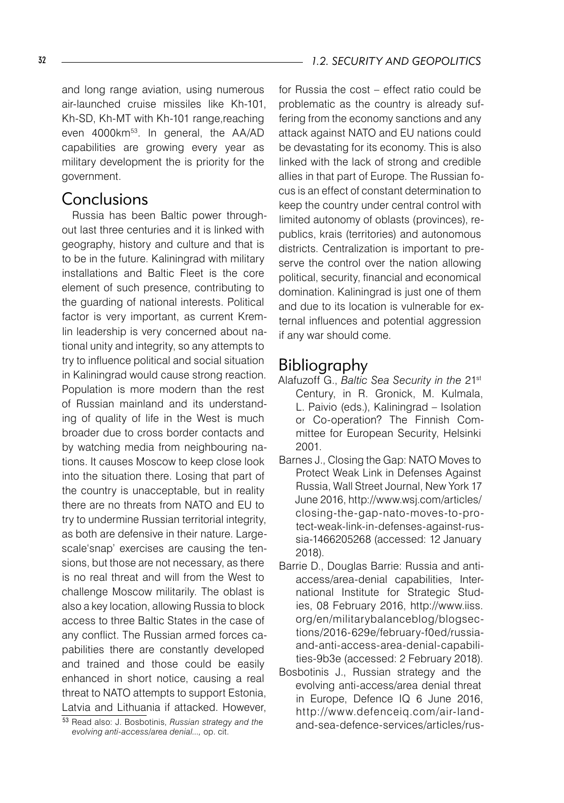and long range aviation, using numerous air-launched cruise missiles like Kh-101, Kh-SD, Kh-MT with Kh-101 range,reaching even 4000km<sup>53</sup>. In general, the AA/AD capabilities are growing every year as military development the is priority for the government.

### Conclusions

Russia has been Baltic power throughout last three centuries and it is linked with geography, history and culture and that is to be in the future. Kaliningrad with military installations and Baltic Fleet is the core element of such presence, contributing to the guarding of national interests. Political factor is very important, as current Kremlin leadership is very concerned about national unity and integrity, so any attempts to try to influence political and social situation in Kaliningrad would cause strong reaction. Population is more modern than the rest of Russian mainland and its understanding of quality of life in the West is much broader due to cross border contacts and by watching media from neighbouring nations. It causes Moscow to keep close look into the situation there. Losing that part of the country is unacceptable, but in reality there are no threats from NATO and EU to try to undermine Russian territorial integrity, as both are defensive in their nature. Largescale'snap' exercises are causing the tensions, but those are not necessary, as there is no real threat and will from the West to challenge Moscow militarily. The oblast is also a key location, allowing Russia to block access to three Baltic States in the case of any conflict. The Russian armed forces capabilities there are constantly developed and trained and those could be easily enhanced in short notice, causing a real threat to NATO attempts to support Estonia, Latvia and Lithuania if attacked. However,

for Russia the cost – effect ratio could be problematic as the country is already suffering from the economy sanctions and any attack against NATO and EU nations could be devastating for its economy. This is also linked with the lack of strong and credible allies in that part of Europe. The Russian focus is an effect of constant determination to keep the country under central control with limited autonomy of oblasts (provinces), republics, krais (territories) and autonomous districts. Centralization is important to preserve the control over the nation allowing political, security, financial and economical domination. Kaliningrad is just one of them and due to its location is vulnerable for external influences and potential aggression if any war should come.

### Bibliography

- Alafuzoff G., *Baltic Sea Security in the* 21st Century, in R. Gronick, M. Kulmala, L. Paivio (eds.), Kaliningrad – Isolation or Co-operation? The Finnish Committee for European Security, Helsinki 2001.
- Barnes J., Closing the Gap: NATO Moves to Protect Weak Link in Defenses Against Russia, Wall Street Journal, New York 17 June 2016, http://www.wsj.com/articles/ closing-the-gap-nato-moves-to-protect-weak-link-in-defenses-against-russia-1466205268 (accessed: 12 January 2018).
- Barrie D., Douglas Barrie: Russia and antiaccess/area-denial capabilities, International Institute for Strategic Studies, 08 February 2016, http://www.iiss. org/en/militarybalanceblog/blogsections/2016-629e/february-f0ed/russiaand-anti-access-area-denial-capabilities-9b3e (accessed: 2 February 2018).
- Bosbotinis J., Russian strategy and the evolving anti-access/area denial threat in Europe, Defence IQ 6 June 2016, http://www.defenceiq.com/air-landand-sea-defence-services/articles/rus-

<sup>53</sup> Read also: J. Bosbotinis, *Russian strategy and the evolving anti-access/area denial...,* op. cit.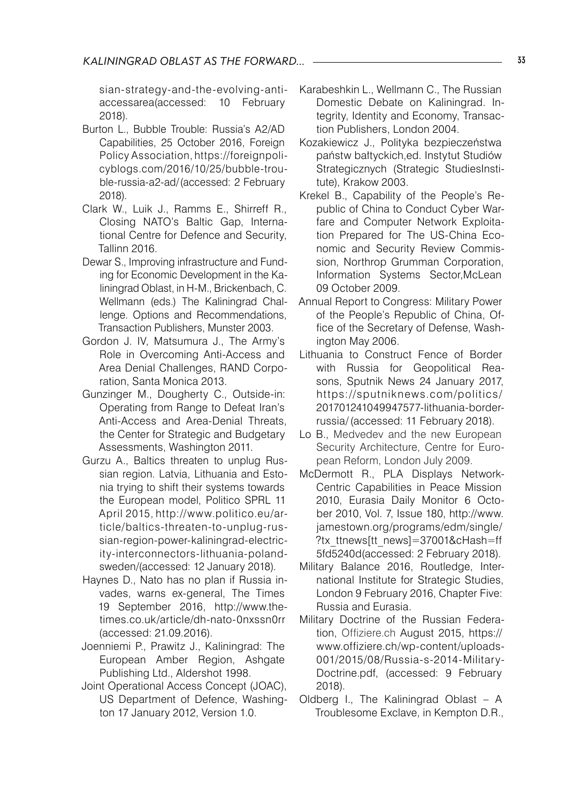sian-strategy-and-the-evolving-antiaccessarea(accessed: 10 February 2018).

- Burton L., Bubble Trouble: Russia's A2/AD Capabilities, 25 October 2016, Foreign Policy Association, https://foreignpolicyblogs.com/2016/10/25/bubble-trouble-russia-a2-ad/(accessed: 2 February 2018).
- Clark W., Luik J., Ramms E., Shirreff R., Closing NATO's Baltic Gap, International Centre for Defence and Security, Tallinn 2016.
- Dewar S., Improving infrastructure and Funding for Economic Development in the Kaliningrad Oblast, in H-M., Brickenbach, C. Wellmann (eds.) The Kaliningrad Challenge. Options and Recommendations, Transaction Publishers, Munster 2003.
- Gordon J. IV, Matsumura J., The Army's Role in Overcoming Anti-Access and Area Denial Challenges, RAND Corporation, Santa Monica 2013.
- Gunzinger M., Dougherty C., Outside-in: Operating from Range to Defeat Iran's Anti-Access and Area-Denial Threats, the Center for Strategic and Budgetary Assessments, Washington 2011.
- Gurzu A., Baltics threaten to unplug Russian region. Latvia, Lithuania and Estonia trying to shift their systems towards the European model, Politico SPRL 11 April 2015, http://www.politico.eu/article/baltics-threaten-to-unplug-russian-region-power-kaliningrad-electricity-interconnectors-lithuania-polandsweden/(accessed: 12 January 2018).
- Haynes D., Nato has no plan if Russia invades, warns ex-general, The Times 19 September 2016, http://www.thetimes.co.uk/article/dh-nato-0nxssn0rr (accessed: 21.09.2016).
- Joenniemi P., Prawitz J., Kaliningrad: The European Amber Region, Ashgate Publishing Ltd., Aldershot 1998.
- Joint Operational Access Concept (JOAC), US Department of Defence, Washington 17 January 2012, Version 1.0.
- Karabeshkin L., Wellmann C., The Russian Domestic Debate on Kaliningrad. Integrity, Identity and Economy, Transaction Publishers, London 2004.
- Kozakiewicz J., Polityka bezpieczeństwa państw bałtyckich,ed. Instytut Studiów Strategicznych (Strategic StudiesInstitute), Krakow 2003.
- Krekel B., Capability of the People's Republic of China to Conduct Cyber Warfare and Computer Network Exploitation Prepared for The US-China Economic and Security Review Commission, Northrop Grumman Corporation, Information Systems Sector,McLean 09 October 2009.
- Annual Report to Congress: Military Power of the People's Republic of China, Office of the Secretary of Defense, Washington May 2006.
- Lithuania to Construct Fence of Border with Russia for Geopolitical Reasons, Sputnik News 24 January 2017, https://sputniknews.com/politics/ 201701241049947577-lithuania-borderrussia/ (accessed: 11 February 2018).
- Lo B., Medvedev and the new European Security Architecture, Centre for European Reform, London July 2009.
- McDermott R., PLA Displays Network-Centric Capabilities in Peace Mission 2010, Eurasia Daily Monitor 6 October 2010, Vol. 7, Issue 180, http://www. jamestown.org/programs/edm/single/ ?tx\_ttnews[tt\_news]=37001&cHash=ff 5fd5240d(accessed: 2 February 2018).
- Military Balance 2016, Routledge, International Institute for Strategic Studies, London 9 February 2016, Chapter Five: Russia and Eurasia.
- Military Doctrine of the Russian Federation, Offiziere.ch August 2015, https:// www.offiziere.ch/wp-content/uploads-001/2015/08/Russia-s-2014-Military-Doctrine.pdf, (accessed: 9 February 2018).
- Oldberg I., The Kaliningrad Oblast A Troublesome Exclave, in Kempton D.R.,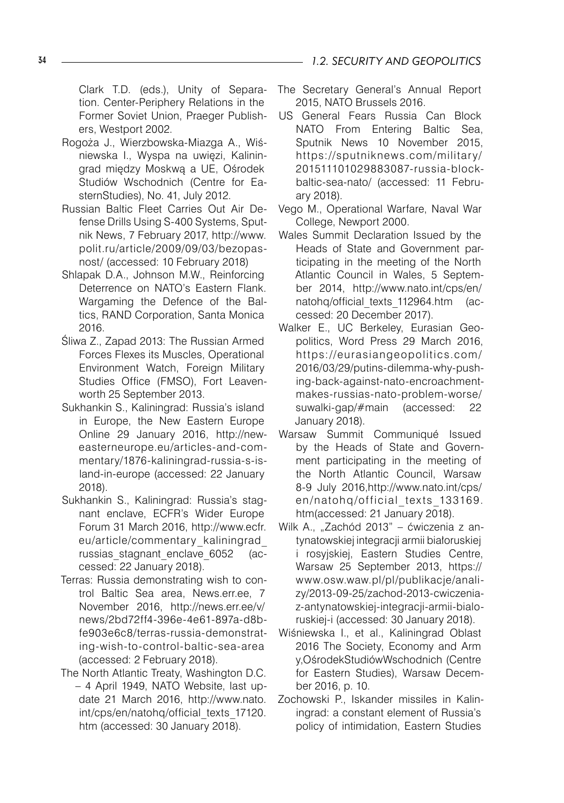Clark T.D. (eds.), Unity of Separation. Center-Periphery Relations in the Former Soviet Union, Praeger Publishers, Westport 2002.

- Rogoża J., Wierzbowska-Miazga A., Wiśniewska I., Wyspa na uwięzi, Kaliningrad między Moskwą a UE, Ośrodek Studiów Wschodnich (Centre for EasternStudies), No. 41, July 2012.
- Russian Baltic Fleet Carries Out Air Defense Drills Using S-400 Systems, Sputnik News, 7 February 2017, http://www. polit.ru/article/2009/09/03/bezopasnost/ (accessed: 10 February 2018)
- Shlapak D.A., Johnson M.W., Reinforcing Deterrence on NATO's Eastern Flank. Wargaming the Defence of the Baltics, RAND Corporation, Santa Monica 2016.
- Śliwa Z., Zapad 2013: The Russian Armed Forces Flexes its Muscles, Operational Environment Watch, Foreign Military Studies Office (FMSO), Fort Leavenworth 25 September 2013.
- Sukhankin S., Kaliningrad: Russia's island in Europe, the New Eastern Europe Online 29 January 2016, http://neweasterneurope.eu/articles-and-commentary/1876-kaliningrad-russia-s-island-in-europe (accessed: 22 January 2018).
- Sukhankin S., Kaliningrad: Russia's stagnant enclave, ECFR's Wider Europe Forum 31 March 2016, http://www.ecfr. eu/article/commentary\_kaliningrad\_ russias stagnant enclave 6052 (accessed: 22 January 2018).
- Terras: Russia demonstrating wish to control Baltic Sea area, News.err.ee, 7 November 2016, http://news.err.ee/v/ news/2bd72ff4-396e-4e61-897a-d8bfe903e6c8/terras-russia-demonstrating-wish-to-control-baltic-sea-area (accessed: 2 February 2018).
- The North Atlantic Treaty, Washington D.C. – 4 April 1949, NATO Website, last update 21 March 2016, http://www.nato. int/cps/en/natohq/official\_texts\_17120. htm (accessed: 30 January 2018).
- The Secretary General's Annual Report 2015, NATO Brussels 2016.
- US General Fears Russia Can Block NATO From Entering Baltic Sea, Sputnik News 10 November 2015, https://sputniknews.com/militar y/ 201511101029883087-russia-blockbaltic-sea-nato/ (accessed: 11 February 2018).
- Vego M., Operational Warfare, Naval War College, Newport 2000.
- Wales Summit Declaration Issued by the Heads of State and Government participating in the meeting of the North Atlantic Council in Wales, 5 September 2014, http://www.nato.int/cps/en/ natohq/official\_texts\_112964.htm (accessed: 20 December 2017).
- Walker E., UC Berkeley, Eurasian Geopolitics, Word Press 29 March 2016, https://eurasiangeopolitics.com/ 2016/03/29/putins-dilemma-why-pushing-back-against-nato-encroachmentmakes-russias-nato-problem-worse/ suwalki-gap/#main (accessed: 22 January 2018).
- Warsaw Summit Communiqué Issued by the Heads of State and Government participating in the meeting of the North Atlantic Council, Warsaw 8-9 July 2016,http://www.nato.int/cps/ en/natohq/official\_texts\_133169. htm(accessed: 21 January 2018).
- Wilk A., "Zachód 2013" ćwiczenia z antynatowskiej integracji armii białoruskiej i rosyjskiej, Eastern Studies Centre, Warsaw 25 September 2013, https:// www.osw.waw.pl/pl/publikacje/analizy/2013-09-25/zachod-2013-cwiczeniaz-antynatowskiej-integracji-armii-bialoruskiej-i (accessed: 30 January 2018).
- Wiśniewska I., et al., Kaliningrad Oblast 2016 The Society, Economy and Arm y,OśrodekStudiówWschodnich (Centre for Eastern Studies), Warsaw December 2016, p. 10.
- Zochowski P., Iskander missiles in Kaliningrad: a constant element of Russia's policy of intimidation, Eastern Studies